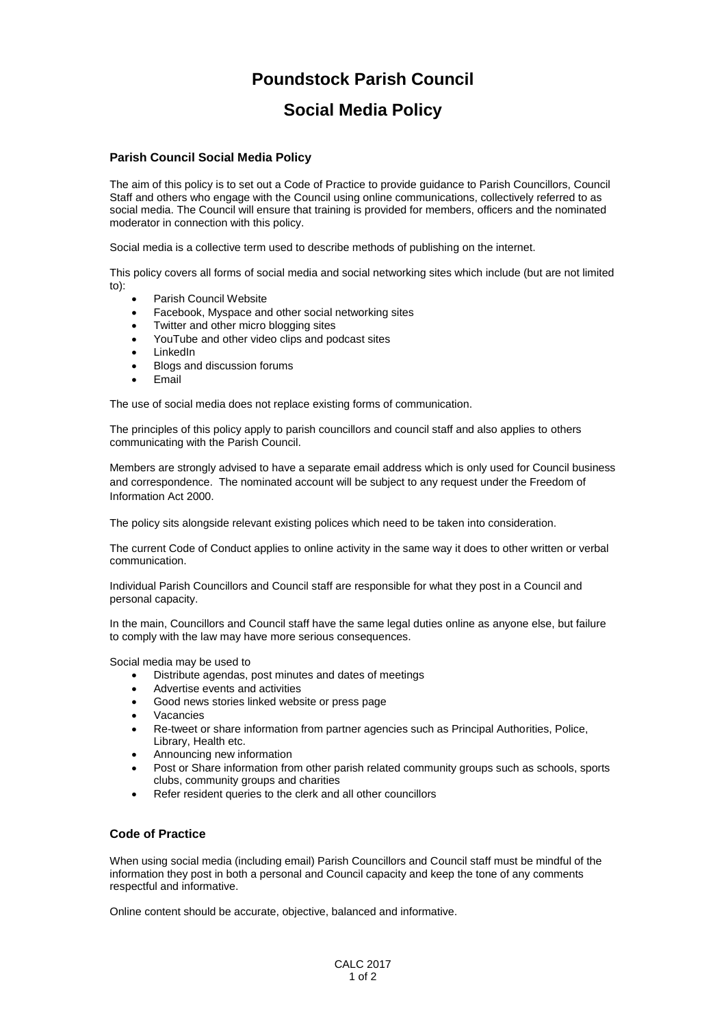## **Poundstock Parish Council**

## **Social Media Policy**

## **Parish Council Social Media Policy**

The aim of this policy is to set out a Code of Practice to provide guidance to Parish Councillors, Council Staff and others who engage with the Council using online communications, collectively referred to as social media. The Council will ensure that training is provided for members, officers and the nominated moderator in connection with this policy.

Social media is a collective term used to describe methods of publishing on the internet.

This policy covers all forms of social media and social networking sites which include (but are not limited to):

- Parish Council Website
- Facebook, Myspace and other social networking sites
- Twitter and other micro blogging sites
- YouTube and other video clips and podcast sites
- LinkedIn
- Blogs and discussion forums
- Email

The use of social media does not replace existing forms of communication.

The principles of this policy apply to parish councillors and council staff and also applies to others communicating with the Parish Council.

Members are strongly advised to have a separate email address which is only used for Council business and correspondence. The nominated account will be subject to any request under the Freedom of Information Act 2000.

The policy sits alongside relevant existing polices which need to be taken into consideration.

The current Code of Conduct applies to online activity in the same way it does to other written or verbal communication.

Individual Parish Councillors and Council staff are responsible for what they post in a Council and personal capacity.

In the main, Councillors and Council staff have the same legal duties online as anyone else, but failure to comply with the law may have more serious consequences.

Social media may be used to

- Distribute agendas, post minutes and dates of meetings
- Advertise events and activities
- Good news stories linked website or press page
- Vacancies
- Re-tweet or share information from partner agencies such as Principal Authorities, Police, Library, Health etc.
- Announcing new information
- Post or Share information from other parish related community groups such as schools, sports clubs, community groups and charities
- Refer resident queries to the clerk and all other councillors

## **Code of Practice**

When using social media (including email) Parish Councillors and Council staff must be mindful of the information they post in both a personal and Council capacity and keep the tone of any comments respectful and informative.

Online content should be accurate, objective, balanced and informative.